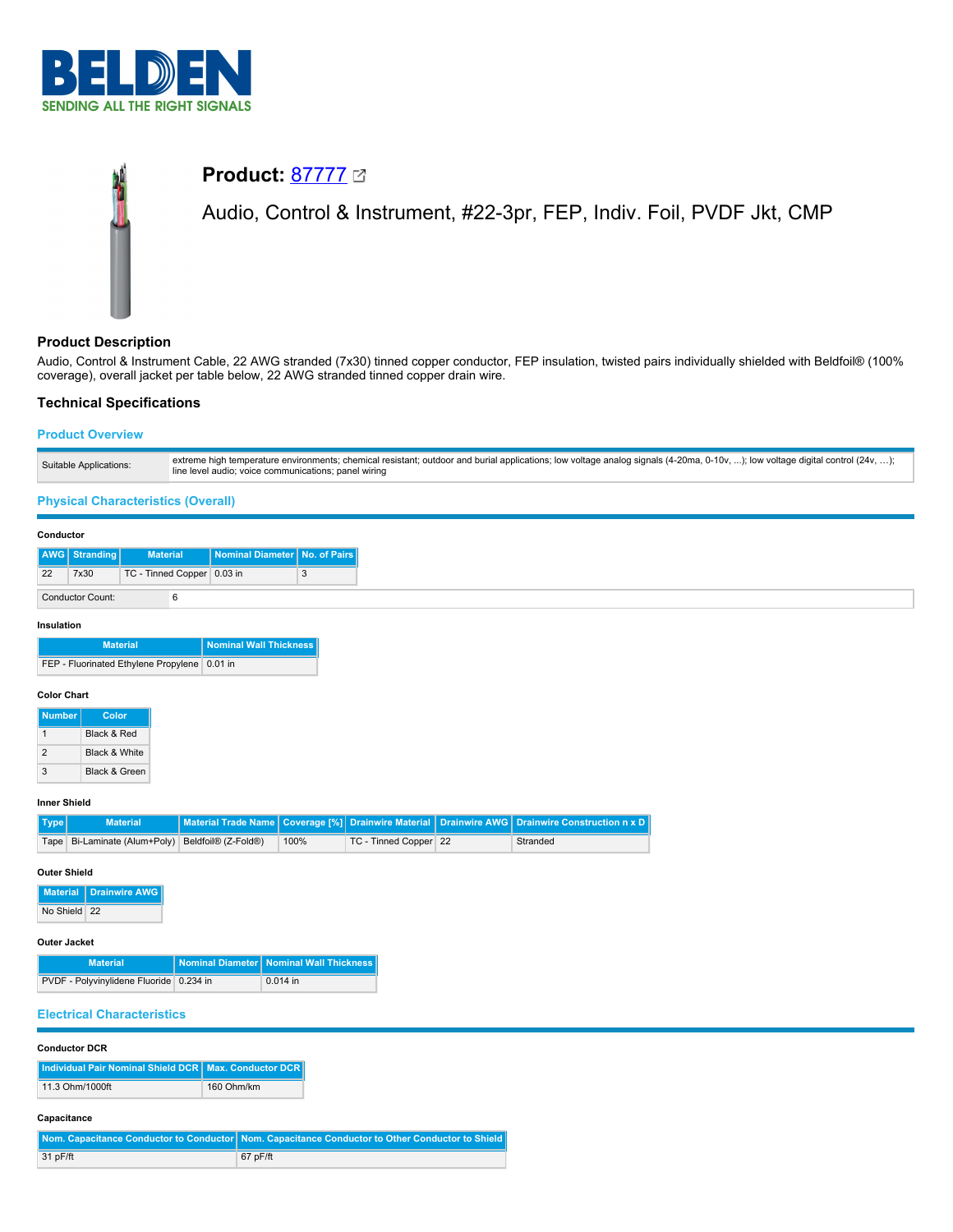

# **Product:** [87777](https://catalog.belden.com/index.cfm?event=pd&p=PF_87777&tab=downloads) Audio, Control & Instrument, #22-3pr, FEP, Indiv. Foil, PVDF Jkt, CMP

# **Product Description**

Audio, Control & Instrument Cable, 22 AWG stranded (7x30) tinned copper conductor, FEP insulation, twisted pairs individually shielded with Beldfoil® (100% coverage), overall jacket per table below, 22 AWG stranded tinned copper drain wire.

# **Technical Specifications**

# **Product Overview**

| extreme high temperature environments; chemical resistant; outdoor and burial applications; low voltage analog signals (4-20ma, 0-10v, ); low voltage digital control (24v, );<br>Suitable Applications:<br>line level audio; voice communications; panel wiring |
|------------------------------------------------------------------------------------------------------------------------------------------------------------------------------------------------------------------------------------------------------------------|
|------------------------------------------------------------------------------------------------------------------------------------------------------------------------------------------------------------------------------------------------------------------|

# **Physical Characteristics (Overall)**

## **Conductor**

|                  | AWG   Stranding | <b>Material</b>            | Nominal Diameter   No. of Pairs |  |
|------------------|-----------------|----------------------------|---------------------------------|--|
| 22               | 7x30            | TC - Tinned Copper 0.03 in |                                 |  |
| Conductor Count: |                 |                            |                                 |  |

## **Insulation**

| <b>Material</b>                              | Nominal Wall Thickness |
|----------------------------------------------|------------------------|
| FEP - Fluorinated Ethylene Propylene 0.01 in |                        |

## **Color Chart**

| <b>Number</b> | Color                    |
|---------------|--------------------------|
|               | <b>Black &amp; Red</b>   |
| 2             | <b>Black &amp; White</b> |
| 3             | <b>Black &amp; Green</b> |

## **Inner Shield**

| Type | <b>Material</b>                                  |      |                       | Material Trade Name Coverage [%] Drainwire Material Drainwire AWG Drainwire Construction n x D |
|------|--------------------------------------------------|------|-----------------------|------------------------------------------------------------------------------------------------|
|      | Tape Bi-Laminate (Alum+Poly) Beldfoil® (Z-Fold®) | 100% | TC - Tinned Copper 22 | Stranded                                                                                       |

## **Outer Shield**

**Material Drainwire AWG** No Shield 22

### **Outer Jacket**

| <b>Material</b>                         | Nominal Diameter   Nominal Wall Thickness |
|-----------------------------------------|-------------------------------------------|
| PVDF - Polyvinylidene Fluoride 0.234 in | $0.014$ in                                |

## **Electrical Characteristics**

## **Conductor DCR**

| Individual Pair Nominal Shield DCR   Max. Conductor DCR |            |
|---------------------------------------------------------|------------|
| 11.3 Ohm/1000ft                                         | 160 Ohm/km |

## **Capacitance**

|            | Nom. Capacitance Conductor to Conductor   Nom. Capacitance Conductor to Other Conductor to Shield |
|------------|---------------------------------------------------------------------------------------------------|
| $31$ pF/ft | $67$ pF/ft                                                                                        |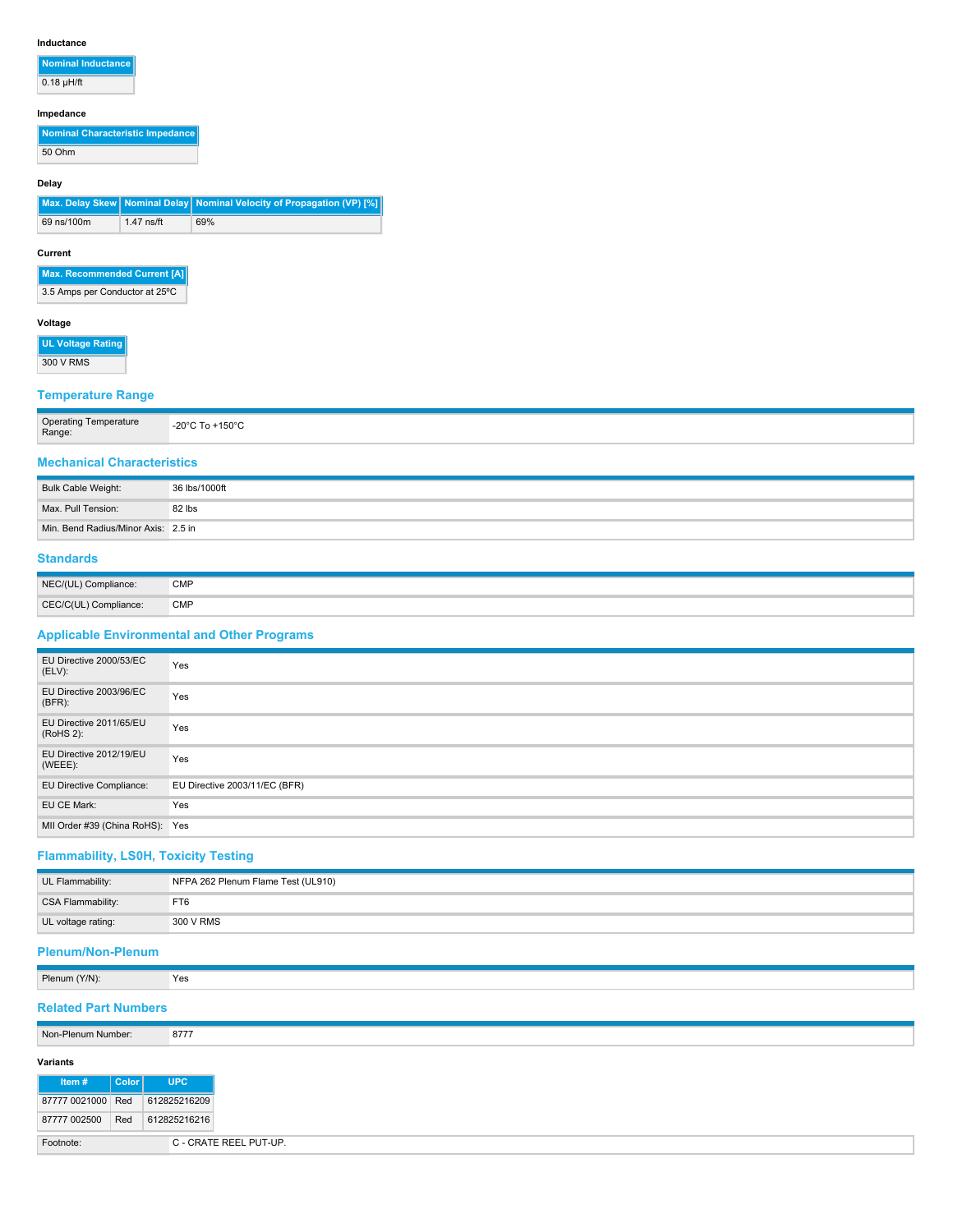#### **Inductance**

**Nominal Inductance**  $0.18 \mu H/ft$ 

**Impedance**

**Nominal Characteristic Impedance** 50 Ohm

#### **Delay**

**Max. Delay Skew** | Nominal Delay | Nominal Velocity of Propagation (VP) [%] 69 ns/100m 1.47 ns/ft 69%

#### **Current**

**Max. Recommended Current [A]**

3.5 Amps per Conductor at 25ºC

## **Voltage**

**UL Voltage Rating** 300 V RMS

# **Temperature Range**

| <b>Operating Temperature</b><br>…⊸<br>Range: | $-20^{\circ}$ C To +150 $^{\circ}$ C |
|----------------------------------------------|--------------------------------------|
|----------------------------------------------|--------------------------------------|

# **Mechanical Characteristics**

| Bulk Cable Weight:                  | 36 lbs/1000ft |
|-------------------------------------|---------------|
| Max. Pull Tension:                  | 82 lbs        |
| Min. Bend Radius/Minor Axis: 2.5 in |               |

## **Standards**

| NEC/(UL) Compliance:  | <b>CMP</b> |
|-----------------------|------------|
| CEC/C(UL) Compliance: | <b>CMP</b> |

# **Applicable Environmental and Other Programs**

| EU Directive 2000/53/EC<br>(ELV):     | Yes                           |
|---------------------------------------|-------------------------------|
| EU Directive 2003/96/EC<br>(BFR):     | Yes                           |
| EU Directive 2011/65/EU<br>(RoHS 2):  | Yes                           |
| EU Directive 2012/19/EU<br>$(WEEE)$ : | Yes                           |
| EU Directive Compliance:              | EU Directive 2003/11/EC (BFR) |
| EU CE Mark:                           | Yes                           |
| MII Order #39 (China RoHS): Yes       |                               |

# **Flammability, LS0H, Toxicity Testing**

| UL Flammability:   | NFPA 262 Plenum Flame Test (UL910) |
|--------------------|------------------------------------|
| CSA Flammability:  | FT6                                |
| UL voltage rating: | 300 V RMS                          |

# **Plenum/Non-Plenum**

|  | Plenum (Y/N): | Yes |
|--|---------------|-----|
|--|---------------|-----|

# **Related Part Numbers**

| Non-Plenum Number: |       | 8777         |
|--------------------|-------|--------------|
| Variants           |       |              |
| $\mathsf{Item}~#$  | Color | <b>UPC</b>   |
| 87777 0021000 Red  |       | 612825216209 |
| 87777 002500       | Red   | 612825216216 |

| C - CRATE REEL PUT-UP. |
|------------------------|
|                        |